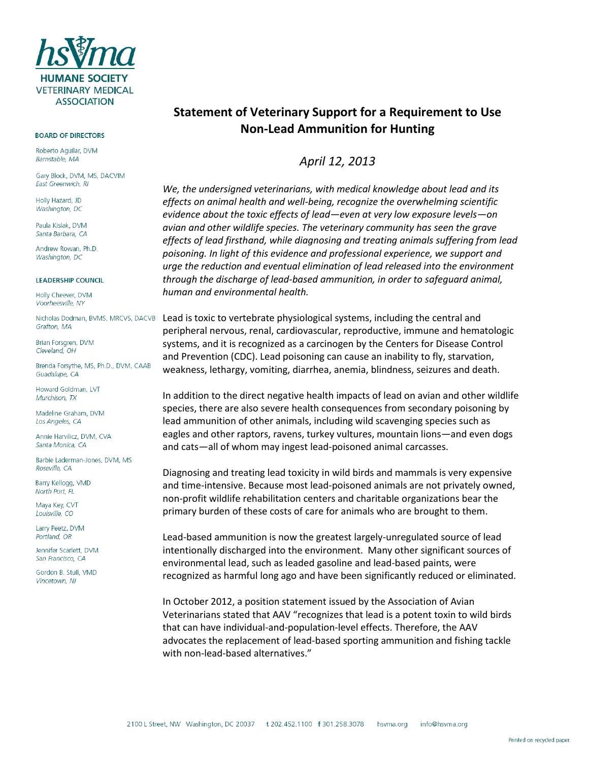

#### **BOARD OF DIRECTORS**

Roberto Aquilar, DVM Barnstable, MA

Gary Block, DVM, MS, DACVIM East Greenwich, RI

Holly Hazard, JD Washington, DC

Paula Kislak, DVM Santa Barbara, CA

Andrew Rowan, Ph.D. Washington, DC

### **LEADERSHIP COUNCIL**

Holly Cheever, DVM Voorheesville, NY

Grafton, MA

Brian Forsgren, DVM Cleveland, OH

Brenda Forsythe, MS, Ph.D., DVM, CAAB Guadalupe, CA

Howard Goldman, LVT Murchison, TX

Madeline Graham, DVM Los Angeles, CA

Annie Harvilicz, DVM, CVA Santa Monica, CA

Barbie Laderman-Jones, DVM, MS Roseville, CA

Barry Kellogg, VMD North Port, FL

Maya Key, CVT Louisville, CO

Larry Peetz, DVM Portland, OR

Jennifer Scarlett, DVM San Francisco, CA

Gordon B. Stull, VMD Vincetown, NJ

# **Statement of Veterinary Support for a Requirement to Use Non-Lead Ammunition for Hunting**

## *April 12, 2013*

*We, the undersigned veterinarians, with medical knowledge about lead and its effects on animal health and well-being, recognize the overwhelming scientific evidence about the toxic effects of lead—even at very low exposure levels—on avian and other wildlife species. The veterinary community has seen the grave effects of lead firsthand, while diagnosing and treating animals suffering from lead poisoning. In light of this evidence and professional experience, we support and urge the reduction and eventual elimination of lead released into the environment through the discharge of lead-based ammunition, in order to safeguard animal, human and environmental health.*

Nicholas Dodman, BVMS, MRCVS, DACVB Lead is toxic to vertebrate physiological systems, including the central and peripheral nervous, renal, cardiovascular, reproductive, immune and hematologic systems, and it is recognized as a carcinogen by the Centers for Disease Control and Prevention (CDC). Lead poisoning can cause an inability to fly, starvation, weakness, lethargy, vomiting, diarrhea, anemia, blindness, seizures and death.

> In addition to the direct negative health impacts of lead on avian and other wildlife species, there are also severe health consequences from secondary poisoning by lead ammunition of other animals, including wild scavenging species such as eagles and other raptors, ravens, turkey vultures, mountain lions*—*and even dogs and cats*—*all of whom may ingest lead-poisoned animal carcasses.

Diagnosing and treating lead toxicity in wild birds and mammals is very expensive and time-intensive. Because most lead-poisoned animals are not privately owned, non-profit wildlife rehabilitation centers and charitable organizations bear the primary burden of these costs of care for animals who are brought to them.

Lead-based ammunition is now the greatest largely-unregulated source of lead intentionally discharged into the environment. Many other significant sources of environmental lead, such as leaded gasoline and lead-based paints, were recognized as harmful long ago and have been significantly reduced or eliminated.

In October 2012, a position statement issued by the Association of Avian Veterinarians stated that AAV "recognizes that lead is a potent toxin to wild birds that can have individual-and-population-level effects. Therefore, the AAV advocates the replacement of lead-based sporting ammunition and fishing tackle with non-lead-based alternatives."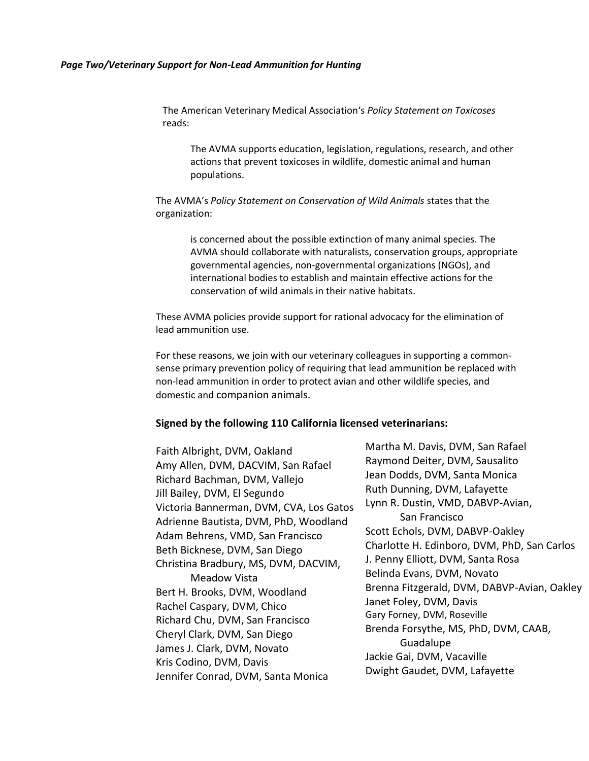The American Veterinary Medical Association's *Policy Statement on Toxicoses*  reads:

The AVMA supports education, legislation, regulations, research, and other actions that prevent toxicoses in wildlife, domestic animal and human populations.

The AVMA's *Policy Statement on Conservation of Wild Animals* states that the organization:

> is concerned about the possible extinction of many animal species. The AVMA should collaborate with naturalists, conservation groups, appropriate governmental agencies, non-governmental organizations (NGOs), and international bodies to establish and maintain effective actions for the conservation of wild animals in their native habitats.

These AVMA policies provide support for rational advocacy for the elimination of lead ammunition use.

For these reasons, we join with our veterinary colleagues in supporting a commonsense primary prevention policy of requiring that lead ammunition be replaced with non-lead ammunition in order to protect avian and other wildlife species, and domestic and companion animals.

### **Signed by the following 110 California licensed veterinarians:**

Faith Albright, DVM, Oakland Amy Allen, DVM, DACVIM, San Rafael Richard Bachman, DVM, Vallejo Jill Bailey, DVM, El Segundo Victoria Bannerman, DVM, CVA, Los Gatos Adrienne Bautista, DVM, PhD, Woodland Adam Behrens, VMD, San Francisco Beth Bicknese, DVM, San Diego Christina Bradbury, MS, DVM, DACVIM, Meadow Vista Bert H. Brooks, DVM, Woodland Rachel Caspary, DVM, Chico Richard Chu, DVM, San Francisco Cheryl Clark, DVM, San Diego James J. Clark, DVM, Novato Kris Codino, DVM, Davis Jennifer Conrad, DVM, Santa Monica

Martha M. Davis, DVM, San Rafael Raymond Deiter, DVM, Sausalito Jean Dodds, DVM, Santa Monica Ruth Dunning, DVM, Lafayette Lynn R. Dustin, VMD, DABVP-Avian, San Francisco Scott Echols, DVM, DABVP-Oakley Charlotte H. Edinboro, DVM, PhD, San Carlos J. Penny Elliott, DVM, Santa Rosa Belinda Evans, DVM, Novato Brenna Fitzgerald, DVM, DABVP-Avian, Oakley Janet Foley, DVM, Davis Gary Forney, DVM, Roseville Brenda Forsythe, MS, PhD, DVM, CAAB, Guadalupe Jackie Gai, DVM, Vacaville Dwight Gaudet, DVM, Lafayette